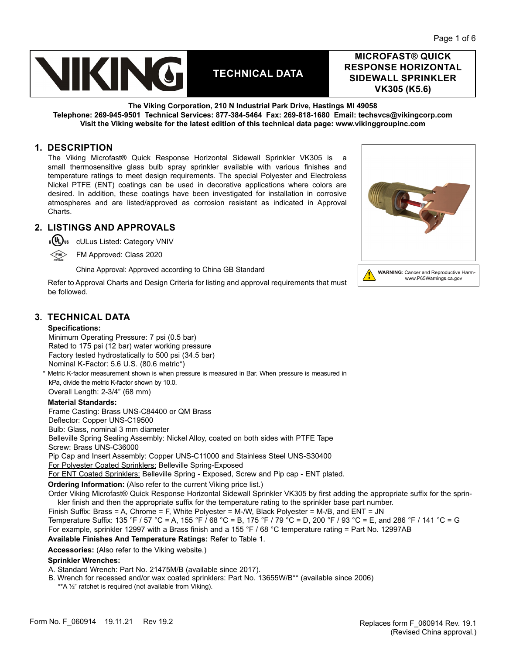

**MICROFAST® QUICK RESPONSE HORIZONTAL SIDEWALL SPRINKLER VK305 (K5.6)**

**The Viking Corporation, 210 N Industrial Park Drive, Hastings MI 49058 Telephone: 269-945-9501 Technical Services: 877-384-5464 Fax: 269-818-1680 Email: techsvcs@vikingcorp.com Visit the Viking website for the latest edition of this technical data page: www.vikinggroupinc.com**

## **1. DESCRIPTION**

The Viking Microfast® Quick Response Horizontal Sidewall Sprinkler VK305 is a small thermosensitive glass bulb spray sprinkler available with various finishes and temperature ratings to meet design requirements. The special Polyester and Electroless Nickel PTFE (ENT) coatings can be used in decorative applications where colors are desired. In addition, these coatings have been investigated for installation in corrosive atmospheres and are listed/approved as corrosion resistant as indicated in Approval Charts.

# **2. LISTINGS AND APPROVALS**

c(UL)<sub>us</sub> cULus Listed: Category VNIV FM Approved: Class 2020



China Approval: Approved according to China GB Standard

Refer to Approval Charts and Design Criteria for listing and approval requirements that must be followed.

# **3. TECHNICAL DATA**

### **Specifications:**

Minimum Operating Pressure: 7 psi (0.5 bar) Rated to 175 psi (12 bar) water working pressure Factory tested hydrostatically to 500 psi (34.5 bar) Nominal K-Factor: 5.6 U.S. (80.6 metric\*)

\* Metric K-factor measurement shown is when pressure is measured in Bar. When pressure is measured in kPa, divide the metric K-factor shown by 10.0.

Overall Length: 2-3/4" (68 mm)

### **Material Standards:**

Frame Casting: Brass UNS-C84400 or QM Brass Deflector: Copper UNS-C19500 Bulb: Glass, nominal 3 mm diameter Belleville Spring Sealing Assembly: Nickel Alloy, coated on both sides with PTFE Tape Screw: Brass UNS-C36000 Pip Cap and Insert Assembly: Copper UNS-C11000 and Stainless Steel UNS-S30400 For Polyester Coated Sprinklers: Belleville Spring-Exposed

For ENT Coated Sprinklers: Belleville Spring - Exposed, Screw and Pip cap - ENT plated.

**Ordering Information:** (Also refer to the current [Viking price list.](http://www.vikingcorp.com/pricelist/))

Order Viking Microfast® Quick Response Horizontal Sidewall Sprinkler VK305 by first adding the appropriate suffix for the sprinkler finish and then the appropriate suffix for the temperature rating to the sprinkler base part number.

Finish Suffix: Brass = A, Chrome = F, White Polyester = M-/W, Black Polyester = M-/B, and ENT = JN Temperature Suffix: 135 °F / 57 °C = A, 155 °F / 68 °C = B, 175 °F / 79 °C = D, 200 °F / 93 °C = E, and 286 °F / 141 °C = G For example, sprinkler 12997 with a Brass finish and a 155 °F / 68 °C temperature rating = Part No. 12997AB **Available Finishes And Temperature Ratings:** Refer to Table 1.

**Accessories:** (Also refer to the Viking website.)

### **Sprinkler Wrenches:**

A. Standard Wrench: Part No. 21475M/B (available since 2017).

- B. Wrench for recessed and/or wax coated sprinklers: Part No. 13655W/B\*\* (available since 2006)
	- \*\*A ½" ratchet is required (not available from Viking).



www.P65Warnings.ca.gov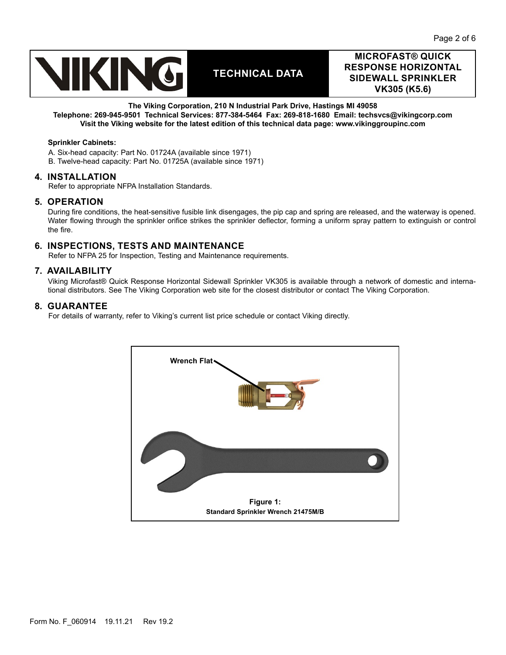

# **MICROFAST® QUICK RESPONSE HORIZONTAL SIDEWALL SPRINKLER VK305 (K5.6)**

### **The Viking Corporation, 210 N Industrial Park Drive, Hastings MI 49058**

**Telephone: 269-945-9501 Technical Services: 877-384-5464 Fax: 269-818-1680 Email: techsvcs@vikingcorp.com Visit the Viking website for the latest edition of this technical data page: www.vikinggroupinc.com**

### **Sprinkler Cabinets:**

A. Six-head capacity: Part No. 01724A (available since 1971) B. Twelve-head capacity: Part No. 01725A (available since 1971)

### **4. INSTALLATION**

Refer to appropriate NFPA Installation Standards.

### **5. OPERATION**

During fire conditions, the heat-sensitive fusible link disengages, the pip cap and spring are released, and the waterway is opened. Water flowing through the sprinkler orifice strikes the sprinkler deflector, forming a uniform spray pattern to extinguish or control the fire.

# **6. INSPECTIONS, TESTS AND MAINTENANCE**

Refer to NFPA 25 for Inspection, Testing and Maintenance requirements.

### **7. AVAILABILITY**

Viking Microfast® Quick Response Horizontal Sidewall Sprinkler VK305 is available through a network of domestic and international distributors. See The Viking Corporation web site for the closest distributor or contact The Viking Corporation.

### **8. GUARANTEE**

For details of warranty, refer to Viking's current list price schedule or contact Viking directly.

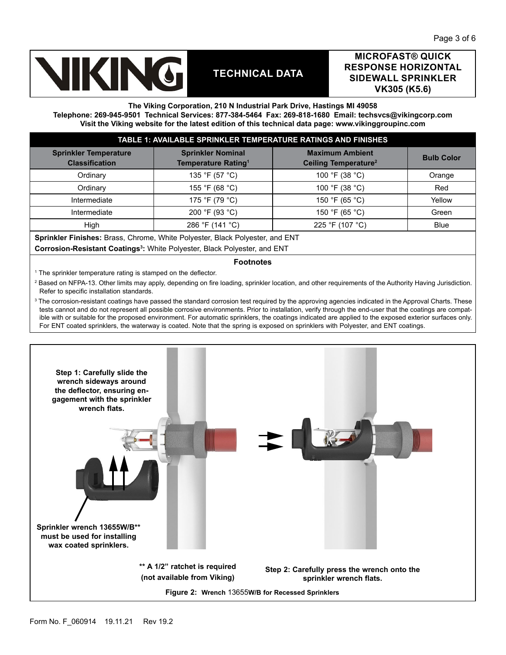

# **MICROFAST® QUICK RESPONSE HORIZONTAL SIDEWALL SPRINKLER VK305 (K5.6)**

#### **The Viking Corporation, 210 N Industrial Park Drive, Hastings MI 49058**

**Telephone: 269-945-9501 Technical Services: 877-384-5464 Fax: 269-818-1680 Email: techsvcs@vikingcorp.com Visit the Viking website for the latest edition of this technical data page: www.vikinggroupinc.com**

| TABLE 1: AVAILABLE SPRINKLER TEMPERATURE RATINGS AND FINISHES |                                                             |                                                            |                   |  |  |  |  |
|---------------------------------------------------------------|-------------------------------------------------------------|------------------------------------------------------------|-------------------|--|--|--|--|
| <b>Sprinkler Temperature</b><br><b>Classification</b>         | <b>Sprinkler Nominal</b><br>Temperature Rating <sup>1</sup> | <b>Maximum Ambient</b><br>Ceiling Temperature <sup>2</sup> | <b>Bulb Color</b> |  |  |  |  |
| Ordinary                                                      | 135 °F (57 °C)                                              | 100 °F (38 °C)                                             | Orange            |  |  |  |  |
| Ordinary                                                      | 155 °F (68 °C)                                              | 100 °F (38 °C)                                             | Red               |  |  |  |  |
| Intermediate                                                  | 175 °F (79 °C)                                              | 150 °F (65 °C)                                             | Yellow            |  |  |  |  |
| Intermediate                                                  | 200 °F (93 °C)                                              | 150 °F (65 °C)                                             | Green             |  |  |  |  |
| High                                                          | 286 °F (141 °C)                                             | 225 °F (107 °C)                                            | <b>Blue</b>       |  |  |  |  |

**Sprinkler Finishes:** Brass, Chrome, White Polyester, Black Polyester, and ENT

**Corrosion-Resistant Coatings<sup>3</sup> :** White Polyester, Black Polyester, and ENT

### **Footnotes**

1 The sprinkler temperature rating is stamped on the deflector.

 $^2$  Based on NFPA-13. Other limits may apply, depending on fire loading, sprinkler location, and other requirements of the Authority Having Jurisdiction. Refer to specific installation standards.

 $^{\rm 3}$  The corrosion-resistant coatings have passed the standard corrosion test required by the approving agencies indicated in the Approval Charts. These tests cannot and do not represent all possible corrosive environments. Prior to installation, verify through the end-user that the coatings are compatible with or suitable for the proposed environment. For automatic sprinklers, the coatings indicated are applied to the exposed exterior surfaces only. For ENT coated sprinklers, the waterway is coated. Note that the spring is exposed on sprinklers with Polyester, and ENT coatings.

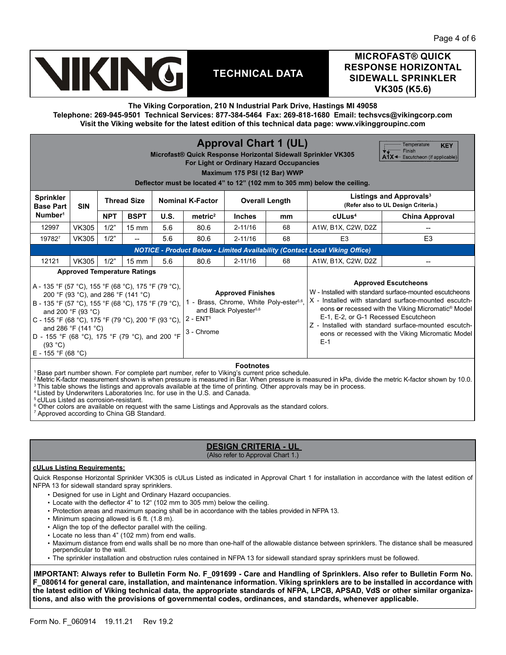

# **MICROFAST® QUICK RESPONSE HORIZONTAL SIDEWALL SPRINKLER VK305 (K5.6)**

**The Viking Corporation, 210 N Industrial Park Drive, Hastings MI 49058**

**Telephone: 269-945-9501 Technical Services: 877-384-5464 Fax: 269-818-1680 Email: techsvcs@vikingcorp.com Visit the Viking website for the latest edition of this technical data page: www.vikinggroupinc.com**

| <b>Approval Chart 1 (UL)</b><br>Temperature<br><b>KEY</b><br>Finish<br>Microfast® Quick Response Horizontal Sidewall Sprinkler VK305<br>$A^{\dagger}X \leftarrow$ Escutcheon (if applicable)<br>For Light or Ordinary Hazard Occupancies<br>Maximum 175 PSI (12 Bar) WWP<br>Deflector must be located 4" to 12" (102 mm to 305 mm) below the ceiling.                                                |              |                    |                 |                                                                                                                                      |                     |                       |                                                                                                                                                                                                                                                                                                                                                                                |                                                                            |                       |  |
|------------------------------------------------------------------------------------------------------------------------------------------------------------------------------------------------------------------------------------------------------------------------------------------------------------------------------------------------------------------------------------------------------|--------------|--------------------|-----------------|--------------------------------------------------------------------------------------------------------------------------------------|---------------------|-----------------------|--------------------------------------------------------------------------------------------------------------------------------------------------------------------------------------------------------------------------------------------------------------------------------------------------------------------------------------------------------------------------------|----------------------------------------------------------------------------|-----------------------|--|
| <b>Sprinkler</b><br><b>SIN</b><br><b>Base Part</b>                                                                                                                                                                                                                                                                                                                                                   |              | <b>Thread Size</b> |                 | <b>Nominal K-Factor</b>                                                                                                              |                     | <b>Overall Length</b> |                                                                                                                                                                                                                                                                                                                                                                                | Listings and Approvals <sup>3</sup><br>(Refer also to UL Design Criteria.) |                       |  |
| Number <sup>1</sup>                                                                                                                                                                                                                                                                                                                                                                                  |              | <b>NPT</b>         | <b>BSPT</b>     | <b>U.S.</b>                                                                                                                          | metric <sup>2</sup> | <b>Inches</b>         | mm                                                                                                                                                                                                                                                                                                                                                                             | $c$ ULus <sup>4</sup>                                                      | <b>China Approval</b> |  |
| 12997                                                                                                                                                                                                                                                                                                                                                                                                | <b>VK305</b> | 1/2"               | $15 \text{ mm}$ | 5.6                                                                                                                                  | 80.6                | $2 - 11/16$           | 68                                                                                                                                                                                                                                                                                                                                                                             | A1W, B1X, C2W, D2Z                                                         |                       |  |
| 197827                                                                                                                                                                                                                                                                                                                                                                                               | <b>VK305</b> | 1/2"               | --              | 5.6                                                                                                                                  | 80.6                | $2 - 11/16$           | 68                                                                                                                                                                                                                                                                                                                                                                             | E <sub>3</sub>                                                             | E <sub>3</sub>        |  |
| <b>NOTICE - Product Below - Limited Availability (Contact Local Viking Office)</b>                                                                                                                                                                                                                                                                                                                   |              |                    |                 |                                                                                                                                      |                     |                       |                                                                                                                                                                                                                                                                                                                                                                                |                                                                            |                       |  |
| <b>VK305</b><br>1/2"<br>12121<br>5.6<br>$15 \text{ mm}$                                                                                                                                                                                                                                                                                                                                              |              |                    |                 |                                                                                                                                      | 80.6                | $2 - 11/16$           | 68                                                                                                                                                                                                                                                                                                                                                                             | A1W, B1X, C2W, D2Z                                                         |                       |  |
| <b>Approved Temperature Ratings</b><br>A - 135 °F (57 °C), 155 °F (68 °C), 175 °F (79 °C),<br>200 °F (93 °C), and 286 °F (141 °C)<br>B - 135 °F (57 °C), 155 °F (68 °C), 175 °F (79 °C),<br>and 200 °F (93 °C)<br>C - 155 °F (68 °C), 175 °F (79 °C), 200 °F (93 °C), 2 - ENT <sup>5</sup><br>and 286 °F (141 °C)<br>D - 155 °F (68 °C), 175 °F (79 °C), and 200 °F<br>(93 °C)<br>E - 155 °F (68 °C) |              |                    |                 | <b>Approved Finishes</b><br>1 - Brass, Chrome, White Poly-ester <sup>5,6</sup> ,<br>and Black Polyester <sup>5,6</sup><br>3 - Chrome |                     |                       | <b>Approved Escutcheons</b><br>W - Installed with standard surface-mounted escutcheons<br>X - Installed with standard surface-mounted escutch-<br>eons or recessed with the Viking Micromatic <sup>®</sup> Model<br>E-1, E-2, or G-1 Recessed Escutcheon<br>Z - Installed with standard surface-mounted escutch-<br>eons or recessed with the Viking Micromatic Model<br>$E-1$ |                                                                            |                       |  |

**Footnotes** 1 Base part number shown. For complete part number, refer to Viking's current price schedule.

2 Metric K-factor measurement shown is when pressure is measured in Bar. When pressure is measured in kPa, divide the metric K-factor shown by 10.0. <sup>3</sup> This table shows the listings and approvals available at the time of printing. Other approvals may be in process.

4 Listed by Underwriters Laboratories Inc. for use in the U.S. and Canada.

5 cULus Listed as corrosion-resistant.

 $\,^{\rm 6}$  Other colors are available on request with the same Listings and Approvals as the standard colors.

7 Approved according to China GB Standard.

### **DESIGN CRITERIA - UL**  (Also refer to Approval Chart 1.)

#### **cULus Listing Requirements:**

Quick Response Horizontal Sprinkler VK305 is cULus Listed as indicated in Approval Chart 1 for installation in accordance with the latest edition of NFPA 13 for sidewall standard spray sprinklers.

- Designed for use in Light and Ordinary Hazard occupancies.
- Locate with the deflector 4" to 12" (102 mm to 305 mm) below the ceiling.
- Protection areas and maximum spacing shall be in accordance with the tables provided in NFPA 13.
- Minimum spacing allowed is 6 ft. (1.8 m).
- Align the top of the deflector parallel with the ceiling.
- Locate no less than 4" (102 mm) from end walls.
- Maximum distance from end walls shall be no more than one-half of the allowable distance between sprinklers. The distance shall be measured perpendicular to the wall.
- The sprinkler installation and obstruction rules contained in NFPA 13 for sidewall standard spray sprinklers must be followed.

**IMPORTANT: Always refer to Bulletin Form No. F\_091699 - Care and Handling of Sprinklers. Also refer to Bulletin Form No. F\_080614 for general care, installation, and maintenance information. Viking sprinklers are to be installed in accordance with the latest edition of Viking technical data, the appropriate standards of NFPA, LPCB, APSAD, VdS or other similar organizations, and also with the provisions of governmental codes, ordinances, and standards, whenever applicable.**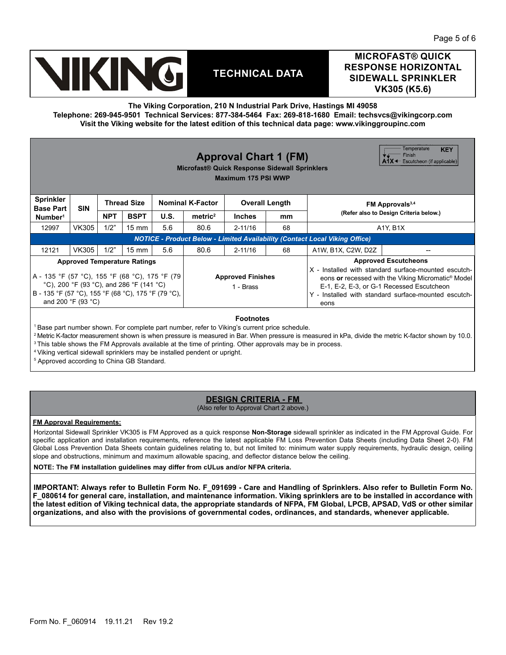

# **MICROFAST® QUICK RESPONSE HORIZONTAL SIDEWALL SPRINKLER VK305 (K5.6)**

**The Viking Corporation, 210 N Industrial Park Drive, Hastings MI 49058**

**Telephone: 269-945-9501 Technical Services: 877-384-5464 Fax: 269-818-1680 Email: techsvcs@vikingcorp.com Visit the Viking website for the latest edition of this technical data page: www.vikinggroupinc.com**

| Temperature<br><b>KEY</b><br>Finish<br><b>Approval Chart 1 (FM)</b><br>$A1X \leftarrow$ Escutcheon (if applicable)<br>Microfast® Quick Response Sidewall Sprinklers<br>Maximum 175 PSI WWP |                                                                                    |            |                                       |      |                         |                                                                                                                                                                                                                                     |    |                                        |  |
|--------------------------------------------------------------------------------------------------------------------------------------------------------------------------------------------|------------------------------------------------------------------------------------|------------|---------------------------------------|------|-------------------------|-------------------------------------------------------------------------------------------------------------------------------------------------------------------------------------------------------------------------------------|----|----------------------------------------|--|
| <b>Sprinkler</b><br><b>Base Part</b>                                                                                                                                                       | <b>SIN</b>                                                                         |            | <b>Thread Size</b>                    |      | <b>Nominal K-Factor</b> | <b>Overall Length</b>                                                                                                                                                                                                               |    | FM Approvals <sup>3,4</sup>            |  |
| Number <sup>1</sup>                                                                                                                                                                        |                                                                                    | <b>NPT</b> | <b>BSPT</b>                           | U.S. | metric <sup>2</sup>     | <b>Inches</b>                                                                                                                                                                                                                       | mm | (Refer also to Design Criteria below.) |  |
| 12997                                                                                                                                                                                      | VK305                                                                              | 1/2"       | $15 \text{ mm}$                       | 5.6  | 80.6                    | $2 - 11/16$                                                                                                                                                                                                                         | 68 | A1Y, B1X                               |  |
|                                                                                                                                                                                            | <b>NOTICE - Product Below - Limited Availability (Contact Local Viking Office)</b> |            |                                       |      |                         |                                                                                                                                                                                                                                     |    |                                        |  |
| 12121                                                                                                                                                                                      | <b>VK305</b>                                                                       | 1/2"       | $15 \text{ mm}$                       | 5.6  | 80.6                    | $2 - 11/16$                                                                                                                                                                                                                         | 68 | A1W, B1X, C2W, D2Z                     |  |
| <b>Approved Temperature Ratings</b>                                                                                                                                                        |                                                                                    |            |                                       |      |                         | <b>Approved Escutcheons</b>                                                                                                                                                                                                         |    |                                        |  |
| A - 135 °F (57 °C), 155 °F (68 °C), 175 °F (79<br>°C), 200 °F (93 °C), and 286 °F (141 °C)<br>B - 135 °F (57 °C), 155 °F (68 °C), 175 °F (79 °C),<br>and 200 °F (93 °C)                    |                                                                                    |            | <b>Approved Finishes</b><br>1 - Brass |      |                         | X - Installed with standard surface-mounted escutch-<br>eons or recessed with the Viking Micromatic <sup>®</sup> Model<br>E-1, E-2, E-3, or G-1 Recessed Escutcheon<br>Y - Installed with standard surface-mounted escutch-<br>eons |    |                                        |  |
| <b>Footnotes</b>                                                                                                                                                                           |                                                                                    |            |                                       |      |                         |                                                                                                                                                                                                                                     |    |                                        |  |

<sup>1</sup> Base part number shown. For complete part number, refer to Viking's current price schedule.

<sup>2</sup> Metric K-factor measurement shown is when pressure is measured in Bar. When pressure is measured in kPa, divide the metric K-factor shown by 10.0.

<sup>3</sup> This table shows the FM Approvals available at the time of printing. Other approvals may be in process.

4 Viking vertical sidewall sprinklers may be installed pendent or upright.

5 Approved according to China GB Standard.

# **DESIGN CRITERIA - FM**

(Also refer to Approval Chart 2 above.)

**FM Approval Requirements:**

Horizontal Sidewall Sprinkler VK305 is FM Approved as a quick response **Non-Storage** sidewall sprinkler as indicated in the FM Approval Guide. For specific application and installation requirements, reference the latest applicable FM Loss Prevention Data Sheets (including Data Sheet 2-0). FM Global Loss Prevention Data Sheets contain guidelines relating to, but not limited to: minimum water supply requirements, hydraulic design, ceiling slope and obstructions, minimum and maximum allowable spacing, and deflector distance below the ceiling.

**NOTE: The FM installation guidelines may differ from cULus and/or NFPA criteria.**

**IMPORTANT: Always refer to Bulletin Form No. F\_091699 - Care and Handling of Sprinklers. Also refer to Bulletin Form No. F\_080614 for general care, installation, and maintenance information. Viking sprinklers are to be installed in accordance with the latest edition of Viking technical data, the appropriate standards of NFPA, FM Global, LPCB, APSAD, VdS or other similar organizations, and also with the provisions of governmental codes, ordinances, and standards, whenever applicable.**